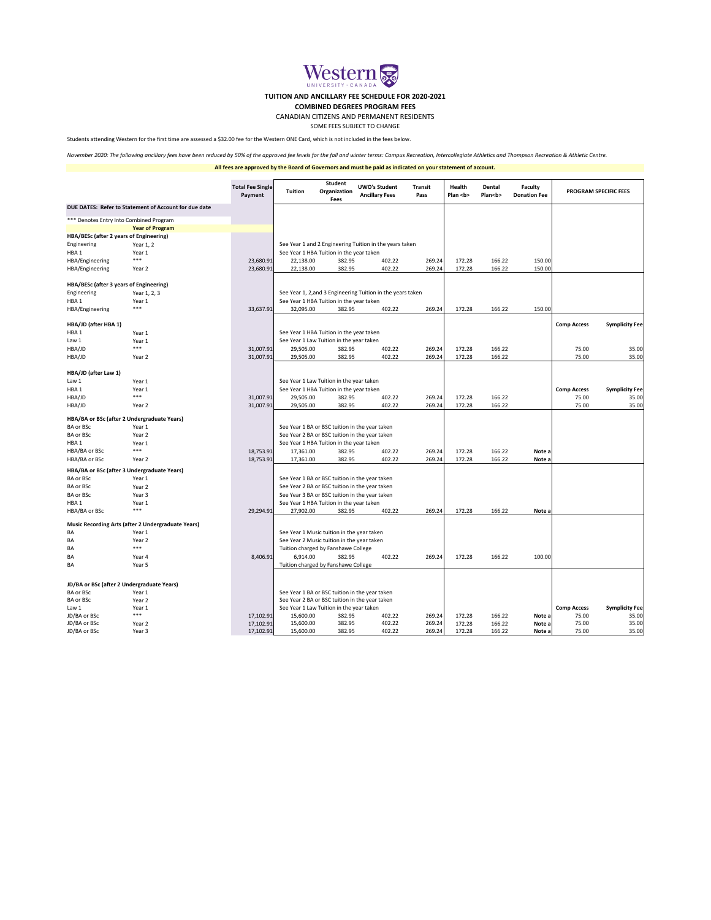|                                                       |                                                           | <b>Total Fee Single</b><br>Payment | <b>Student</b><br><b>Tuition</b><br>Organization<br><b>Fees</b>                                  |                                                | <b>UWO's Student</b><br><b>Ancillary Fees</b>           | <b>Transit</b><br>Pass | <b>Health</b><br>Plan <b></b> | <b>Dental</b><br>Plan <b></b> | <b>Faculty</b><br><b>Donation Fee</b> | <b>PROGRAM SPECIFIC FEES</b> |                       |
|-------------------------------------------------------|-----------------------------------------------------------|------------------------------------|--------------------------------------------------------------------------------------------------|------------------------------------------------|---------------------------------------------------------|------------------------|-------------------------------|-------------------------------|---------------------------------------|------------------------------|-----------------------|
| DUE DATES: Refer to Statement of Account for due date |                                                           |                                    |                                                                                                  |                                                |                                                         |                        |                               |                               |                                       |                              |                       |
|                                                       | *** Denotes Entry Into Combined Program                   |                                    |                                                                                                  |                                                |                                                         |                        |                               |                               |                                       |                              |                       |
|                                                       | <b>Year of Program</b>                                    |                                    |                                                                                                  |                                                |                                                         |                        |                               |                               |                                       |                              |                       |
| HBA/BESc (after 2 years of Engineering)               |                                                           |                                    |                                                                                                  |                                                |                                                         |                        |                               |                               |                                       |                              |                       |
| Engineering                                           | Year 1, 2                                                 |                                    |                                                                                                  |                                                | See Year 1 and 2 Engineering Tuition in the years taken |                        |                               |                               |                                       |                              |                       |
| HBA <sub>1</sub>                                      | Year 1                                                    |                                    |                                                                                                  | See Year 1 HBA Tuition in the year taken       |                                                         |                        |                               |                               |                                       |                              |                       |
| HBA/Engineering                                       | ***                                                       | 23,680.91                          | 22,138.00                                                                                        | 382.95                                         | 402.22                                                  | 269.24                 | 172.28                        | 166.22                        | 150.00                                |                              |                       |
| HBA/Engineering                                       | Year 2                                                    | 23,680.91                          | 22,138.00                                                                                        | 382.95                                         | 402.22                                                  | 269.24                 | 172.28                        | 166.22                        | 150.00                                |                              |                       |
| HBA/BESc (after 3 years of Engineering)               |                                                           |                                    |                                                                                                  |                                                |                                                         |                        |                               |                               |                                       |                              |                       |
| Engineering                                           | Year 1, 2, 3                                              |                                    | See Year 1, 2, and 3 Engineering Tuition in the years taken                                      |                                                |                                                         |                        |                               |                               |                                       |                              |                       |
| HBA1                                                  | Year 1                                                    |                                    |                                                                                                  | See Year 1 HBA Tuition in the year taken       |                                                         |                        |                               |                               |                                       |                              |                       |
| HBA/Engineering                                       | ***                                                       | 33,637.91                          | 32,095.00                                                                                        | 382.95                                         | 402.22                                                  | 269.24                 | 172.28                        | 166.22                        | 150.00                                |                              |                       |
| HBA/JD (after HBA 1)                                  |                                                           |                                    |                                                                                                  |                                                |                                                         |                        |                               |                               |                                       | <b>Comp Access</b>           | <b>Symplicity Fee</b> |
| HBA1                                                  | Year 1                                                    |                                    |                                                                                                  | See Year 1 HBA Tuition in the year taken       |                                                         |                        |                               |                               |                                       |                              |                       |
| Law 1                                                 | Year 1                                                    |                                    |                                                                                                  | See Year 1 Law Tuition in the year taken       |                                                         |                        |                               |                               |                                       |                              |                       |
| HBA/JD                                                | ***                                                       | 31,007.91                          | 29,505.00                                                                                        | 382.95                                         | 402.22                                                  | 269.24                 | 172.28                        | 166.22                        |                                       | 75.00                        | 35.00                 |
| HBA/JD                                                | Year 2                                                    | 31,007.91                          | 29,505.00                                                                                        | 382.95                                         | 402.22                                                  | 269.24                 | 172.28                        | 166.22                        |                                       | 75.00                        | 35.00                 |
| HBA/JD (after Law 1)                                  |                                                           |                                    |                                                                                                  |                                                |                                                         |                        |                               |                               |                                       |                              |                       |
| Law 1                                                 | Year 1                                                    |                                    |                                                                                                  | See Year 1 Law Tuition in the year taken       |                                                         |                        |                               |                               |                                       |                              |                       |
| HBA1                                                  | Year 1                                                    |                                    |                                                                                                  | See Year 1 HBA Tuition in the year taken       |                                                         |                        |                               |                               |                                       | <b>Comp Access</b>           | <b>Symplicity Fee</b> |
| HBA/JD                                                | ***                                                       | 31,007.91                          | 29,505.00                                                                                        | 382.95                                         | 402.22                                                  | 269.24                 | 172.28                        | 166.22                        |                                       | 75.00                        | 35.00                 |
| HBA/JD                                                | Year 2                                                    | 31,007.91                          | 29,505.00                                                                                        | 382.95                                         | 402.22                                                  | 269.24                 | 172.28                        | 166.22                        |                                       | 75.00                        | 35.00                 |
|                                                       | HBA/BA or BSc (after 2 Undergraduate Years)               |                                    |                                                                                                  |                                                |                                                         |                        |                               |                               |                                       |                              |                       |
| BA or BSc                                             | Year 1                                                    |                                    | See Year 1 BA or BSC tuition in the year taken                                                   |                                                |                                                         |                        |                               |                               |                                       |                              |                       |
| <b>BA or BSc</b>                                      | Year 2                                                    |                                    | See Year 2 BA or BSC tuition in the year taken                                                   |                                                |                                                         |                        |                               |                               |                                       |                              |                       |
| HBA <sub>1</sub>                                      | Year 1                                                    |                                    |                                                                                                  | See Year 1 HBA Tuition in the year taken       |                                                         |                        |                               |                               |                                       |                              |                       |
| HBA/BA or BSc                                         | ***                                                       | 18,753.91                          | 17,361.00                                                                                        | 382.95                                         | 402.22                                                  | 269.24                 | 172.28                        | 166.22                        | Note a                                |                              |                       |
| HBA/BA or BSc                                         | Year 2                                                    | 18,753.91                          | 17,361.00                                                                                        | 382.95                                         | 402.22                                                  | 269.24                 | 172.28                        | 166.22                        | Note a                                |                              |                       |
|                                                       | HBA/BA or BSc (after 3 Undergraduate Years)               |                                    |                                                                                                  |                                                |                                                         |                        |                               |                               |                                       |                              |                       |
| <b>BA or BSc</b>                                      | Year 1                                                    |                                    |                                                                                                  |                                                | See Year 1 BA or BSC tuition in the year taken          |                        |                               |                               |                                       |                              |                       |
| <b>BA or BSc</b>                                      | Year 2                                                    |                                    |                                                                                                  | See Year 2 BA or BSC tuition in the year taken |                                                         |                        |                               |                               |                                       |                              |                       |
| <b>BA or BSc</b>                                      | Year 3                                                    |                                    |                                                                                                  | See Year 3 BA or BSC tuition in the year taken |                                                         |                        |                               |                               |                                       |                              |                       |
| HBA <sub>1</sub>                                      | Year 1                                                    |                                    |                                                                                                  | See Year 1 HBA Tuition in the year taken       |                                                         |                        |                               |                               |                                       |                              |                       |
| HBA/BA or BSc                                         | ***                                                       | 29,294.91                          | 27,902.00                                                                                        | 382.95                                         | 402.22                                                  | 269.24                 | 172.28                        | 166.22                        | Note a                                |                              |                       |
|                                                       | <b>Music Recording Arts (after 2 Undergraduate Years)</b> |                                    |                                                                                                  |                                                |                                                         |                        |                               |                               |                                       |                              |                       |
| BA                                                    | Year 1                                                    |                                    |                                                                                                  | See Year 1 Music tuition in the year taken     |                                                         |                        |                               |                               |                                       |                              |                       |
| ВA                                                    | Year 2                                                    |                                    |                                                                                                  | See Year 2 Music tuition in the year taken     |                                                         |                        |                               |                               |                                       |                              |                       |
| ВA                                                    | ***                                                       |                                    |                                                                                                  | Tuition charged by Fanshawe College            |                                                         |                        |                               |                               |                                       |                              |                       |
| BA                                                    | Year 4                                                    | 8,406.91                           | 6,914.00                                                                                         | 382.95                                         | 402.22                                                  | 269.24                 | 172.28                        | 166.22                        | 100.00                                |                              |                       |
| BA                                                    | Year 5                                                    |                                    |                                                                                                  | Tuition charged by Fanshawe College            |                                                         |                        |                               |                               |                                       |                              |                       |
|                                                       |                                                           |                                    |                                                                                                  |                                                |                                                         |                        |                               |                               |                                       |                              |                       |
| JD/BA or BSc (after 2 Undergraduate Years)            |                                                           |                                    |                                                                                                  |                                                |                                                         |                        |                               |                               |                                       |                              |                       |
| <b>BA or BSc</b><br><b>BA or BSc</b>                  | Year 1                                                    |                                    | See Year 1 BA or BSC tuition in the year taken<br>See Year 2 BA or BSC tuition in the year taken |                                                |                                                         |                        |                               |                               |                                       |                              |                       |
|                                                       | Year 2                                                    |                                    |                                                                                                  | See Year 1 Law Tuition in the year taken       |                                                         |                        |                               |                               |                                       |                              |                       |
| Law 1<br>JD/BA or BSc                                 | Year 1<br>***                                             |                                    |                                                                                                  |                                                | 402.22                                                  |                        | 172.28                        | 166.22                        |                                       | <b>Comp Access</b>           | <b>Symplicity Fee</b> |
| JD/BA or BSc                                          | Year 2                                                    | 17,102.91<br>17,102.91             | 15,600.00<br>15,600.00                                                                           | 382.95<br>382.95                               | 402.22                                                  | 269.24<br>269.24       | 172.28                        | 166.22                        | Note a<br>Note a                      | 75.00<br>75.00               | 35.00<br>35.00        |
| JD/BA or BSc                                          | Year 3                                                    | 17,102.91                          | 15,600.00                                                                                        | 382.95                                         | 402.22                                                  | 269.24                 | 172.28                        | 166.22                        | Note a                                | 75.00                        | 35.00                 |

*November 2020: The following ancillary fees have been reduced by 50% of the approved fee levels for the fall and winter terms: Campus Recreation, Intercollegiate Athletics and Thompson Recreation & Athletic Centre.*



## **All fees are approved by the Board of Governors and must be paid as indicated on your statement of account.**

Students attending Western for the first time are assessed a \$32.00 fee for the Western ONE Card, which is not included in the fees below.